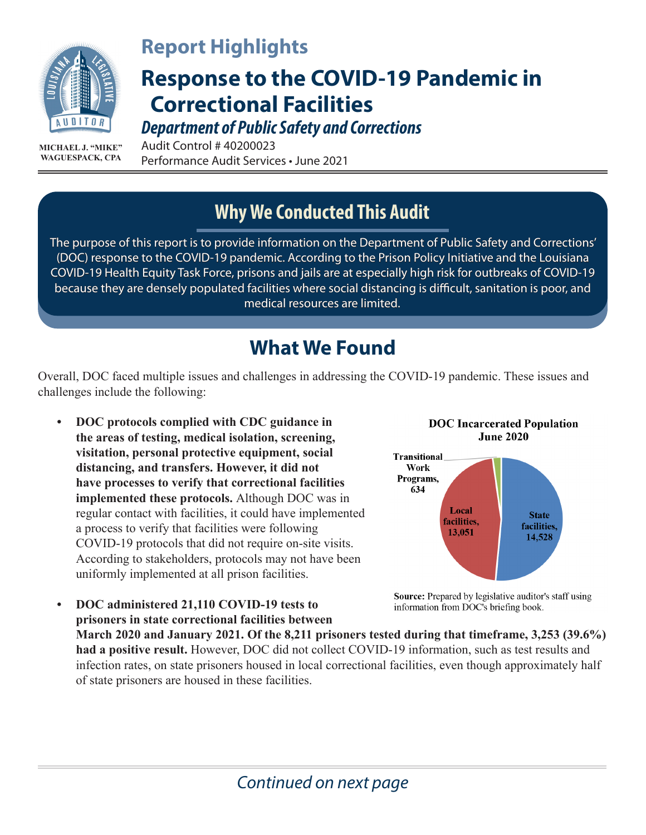

**MICHAEL J. "MIKE" WAGUESPACK, CPA**

### **Report Highlights**

# **Response to the COVID-19 Pandemic in Correctional Facilities**

*Department of Public Safety and Corrections*

Audit Control # 40200023 Performance Audit Services • June 2021

#### **Why We Conducted This Audit**

The purpose of this report is to provide information on the Department of Public Safety and Corrections' (DOC) response to the COVID-19 pandemic. According to the Prison Policy Initiative and the Louisiana COVID-19 Health Equity Task Force, prisons and jails are at especially high risk for outbreaks of COVID-19 because they are densely populated facilities where social distancing is difficult, sanitation is poor, and medical resources are limited.

#### **What We Found**

Overall, DOC faced multiple issues and challenges in addressing the COVID-19 pandemic. These issues and challenges include the following:

**• DOC protocols complied with CDC guidance in the areas of testing, medical isolation, screening, visitation, personal protective equipment, social distancing, and transfers. However, it did not have processes to verify that correctional facilities implemented these protocols.** Although DOC was in regular contact with facilities, it could have implemented a process to verify that facilities were following COVID-19 protocols that did not require on-site visits. According to stakeholders, protocols may not have been uniformly implemented at all prison facilities.

**• DOC administered 21,110 COVID-19 tests to** 



**Source:** Prepared by legislative auditor's staff using information from DOC's briefing book.

**prisoners in state correctional facilities between March 2020 and January 2021. Of the 8,211 prisoners tested during that timeframe, 3,253 (39.6%) had a positive result.** However, DOC did not collect COVID-19 information, such as test results and infection rates, on state prisoners housed in local correctional facilities, even though approximately half of state prisoners are housed in these facilities.